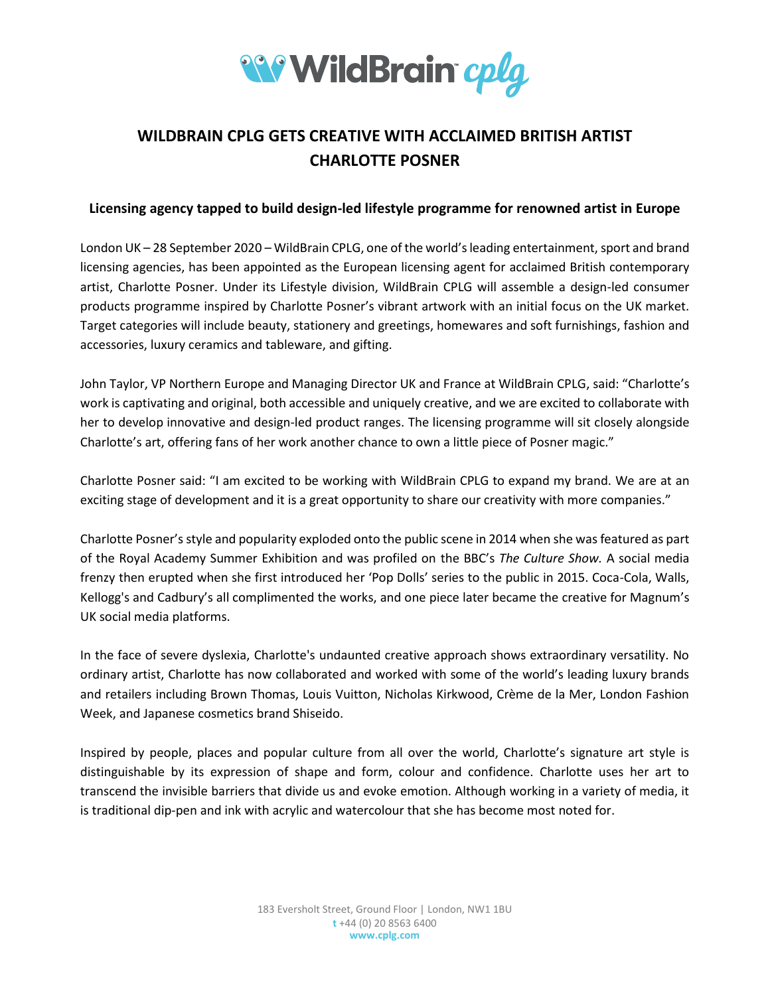

## **WILDBRAIN CPLG GETS CREATIVE WITH ACCLAIMED BRITISH ARTIST CHARLOTTE POSNER**

## **Licensing agency tapped to build design-led lifestyle programme for renowned artist in Europe**

London UK – 28 September 2020 – WildBrain CPLG, one of the world's leading entertainment, sport and brand licensing agencies, has been appointed as the European licensing agent for acclaimed British contemporary artist, Charlotte Posner. Under its Lifestyle division, WildBrain CPLG will assemble a design-led consumer products programme inspired by Charlotte Posner's vibrant artwork with an initial focus on the UK market. Target categories will include beauty, stationery and greetings, homewares and soft furnishings, fashion and accessories, luxury ceramics and tableware, and gifting.

John Taylor, VP Northern Europe and Managing Director UK and France at WildBrain CPLG, said: "Charlotte's work is captivating and original, both accessible and uniquely creative, and we are excited to collaborate with her to develop innovative and design-led product ranges. The licensing programme will sit closely alongside Charlotte's art, offering fans of her work another chance to own a little piece of Posner magic."

Charlotte Posner said: "I am excited to be working with WildBrain CPLG to expand my brand. We are at an exciting stage of development and it is a great opportunity to share our creativity with more companies."

Charlotte Posner'sstyle and popularity exploded onto the public scene in 2014 when she was featured as part of the Royal Academy Summer Exhibition and was profiled on the BBC's *The Culture Show.* A social media frenzy then erupted when she first introduced her 'Pop Dolls' series to the public in 2015. Coca-Cola, Walls, Kellogg's and Cadbury's all complimented the works, and one piece later became the creative for Magnum's UK social media platforms.

In the face of severe dyslexia, Charlotte's undaunted creative approach shows extraordinary versatility. No ordinary artist, Charlotte has now collaborated and worked with some of the world's leading luxury brands and retailers including Brown Thomas, Louis Vuitton, Nicholas Kirkwood, Crème de la Mer, London Fashion Week, and Japanese cosmetics brand Shiseido.

Inspired by people, places and popular culture from all over the world, Charlotte's signature art style is distinguishable by its expression of shape and form, colour and confidence. Charlotte uses her art to transcend the invisible barriers that divide us and evoke emotion. Although working in a variety of media, it is traditional dip-pen and ink with acrylic and watercolour that she has become most noted for.